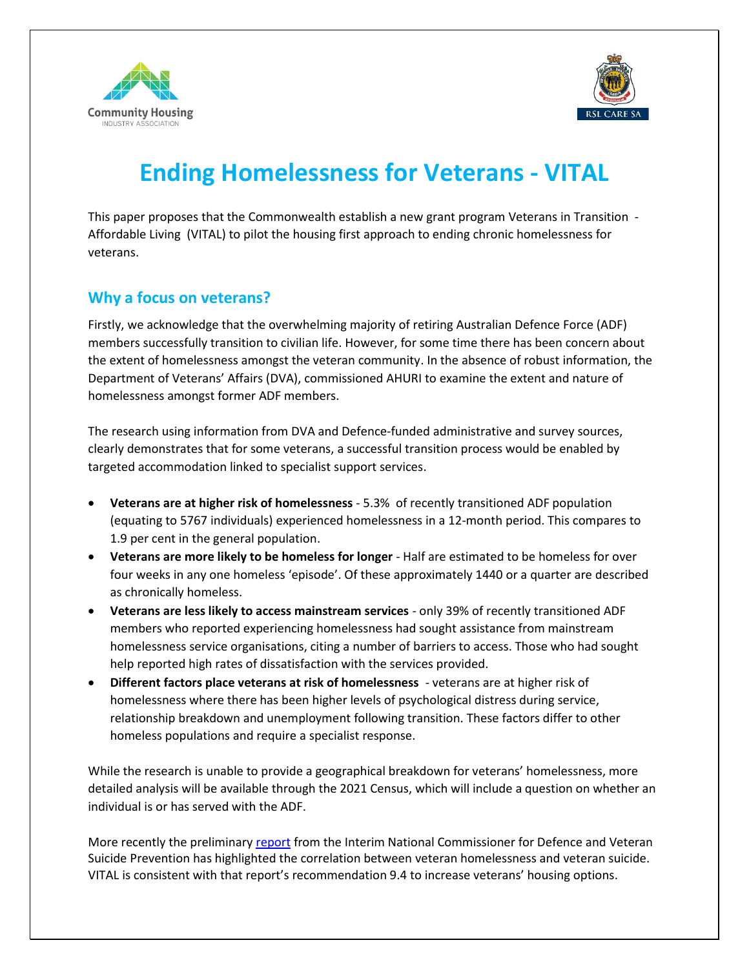



# **Ending Homelessness for Veterans - VITAL**

This paper proposes that the Commonwealth establish a new grant program Veterans in Transition - Affordable Living (VITAL) to pilot the housing first approach to ending chronic homelessness for veterans.

### **Why a focus on veterans?**

Firstly, we acknowledge that the overwhelming majority of retiring Australian Defence Force (ADF) members successfully transition to civilian life. However, for some time there has been concern about the extent of homelessness amongst the veteran community. In the absence of robust information, the Department of Veterans' Affairs (DVA), commissioned AHURI to examine the extent and nature of homelessness amongst former ADF members.

The research using information from DVA and Defence-funded administrative and survey sources, clearly demonstrates that for some veterans, a successful transition process would be enabled by targeted accommodation linked to specialist support services.

- **Veterans are at higher risk of homelessness**  5.3% of recently transitioned ADF population (equating to 5767 individuals) experienced homelessness in a 12-month period. This compares to 1.9 per cent in the general population.
- **Veterans are more likely to be homeless for longer** Half are estimated to be homeless for over four weeks in any one homeless 'episode'. Of these approximately 1440 or a quarter are described as chronically homeless.
- **Veterans are less likely to access mainstream services**  only 39% of recently transitioned ADF members who reported experiencing homelessness had sought assistance from mainstream homelessness service organisations, citing a number of barriers to access. Those who had sought help reported high rates of dissatisfaction with the services provided.
- **Different factors place veterans at risk of homelessness**  veterans are at higher risk of homelessness where there has been higher levels of psychological distress during service, relationship breakdown and unemployment following transition. These factors differ to other homeless populations and require a specialist response.

While the research is unable to provide a geographical breakdown for veterans' homelessness, more detailed analysis will be available through the 2021 Census, which will include a question on whether an individual is or has served with the ADF.

More recently the preliminary [report](https://www.nationalcommissionerdvsp.gov.au/publications/executive-summary-interim-national-commissioners-report) from the Interim National Commissioner for Defence and Veteran Suicide Prevention has highlighted the correlation between veteran homelessness and veteran suicide. VITAL is consistent with that report's recommendation 9.4 to increase veterans' housing options.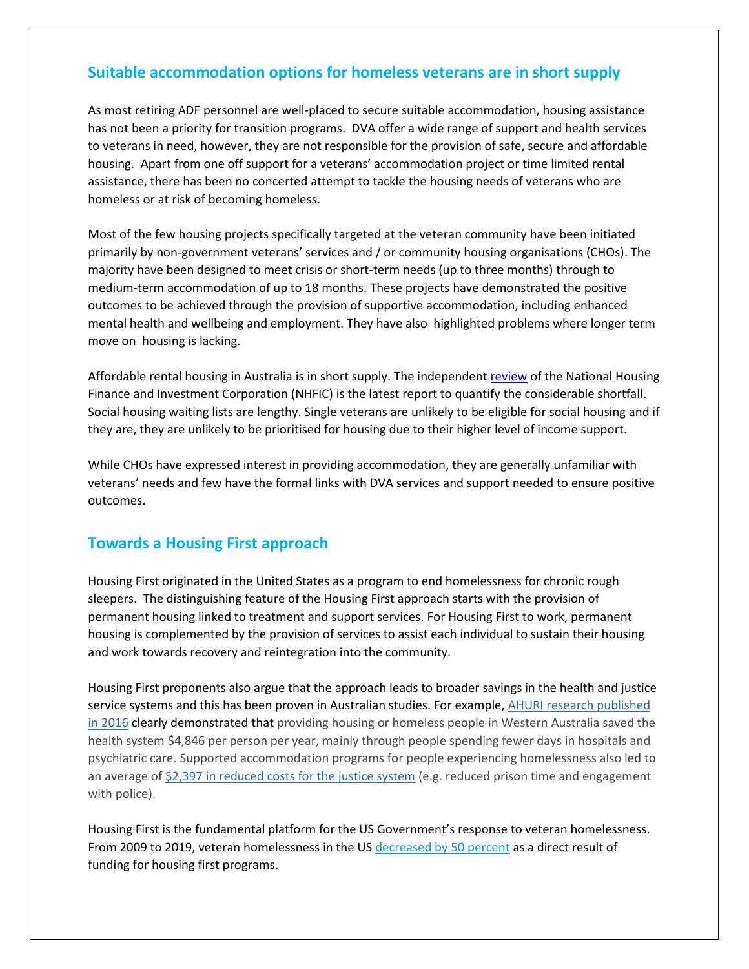#### **Suitable accommodation options for homeless veterans are in short supply**

As most retiring ADF personnel are well-placed to secure suitable accommodation, housing assistance has not been a priority for transition programs. DVA offer a wide range of support and health services to veterans in need, however, they are not responsible for the provision of safe, secure and affordable housing. Apart from one off support for a veterans' accommodation project or time limited rental assistance, there has been no concerted attempt to tackle the housing needs of veterans who are homeless or at risk of becoming homeless.

Most of the few housing projects specifically targeted at the veteran community have been initiated primarily by non-government veterans' services and / or community housing organisations (CHOs). The majority have been designed to meet crisis or short-term needs (up to three months) through to medium-term accommodation of up to 18 months. These projects have demonstrated the positive outcomes to be achieved through the provision of supportive accommodation, including enhanced mental health and wellbeing and employment. They have also highlighted problems where longer term move on housing is lacking.

Affordable rental housing in Australia is in short supply. The independent [review](https://treasury.gov.au/publication/p2021-217760) of the National Housing Finance and Investment Corporation (NHFIC) is the latest report to quantify the considerable shortfall. Social housing waiting lists are lengthy. Single veterans are unlikely to be eligible for social housing and if they are, they are unlikely to be prioritised for housing due to their higher level of income support.

While CHOs have expressed interest in providing accommodation, they are generally unfamiliar with veterans' needs and few have the formal links with DVA services and support needed to ensure positive outcomes.

#### **Towards a Housing First approach**

Housing First originated in the United States as a program to end homelessness for chronic rough sleepers. The distinguishing feature of the Housing First approach starts with the provision of permanent housing linked to treatment and support services. For Housing First to work, permanent housing is complemented by the provision of services to assist each individual to sustain their housing and work towards recovery and reintegration into the community.

Housing First proponents also argue that the approach leads to broader savings in the health and justice service systems and this has been proven in Australian studies. For example, [AHURI research published](https://www.ahuri.edu.au/research/final-reports/265)  [in 2016](https://www.ahuri.edu.au/research/final-reports/265) clearly demonstrated that providing housing or homeless people in Western Australia saved the health system \$4,846 per person per year, mainly through people spending fewer days in hospitals and psychiatric care. Supported accommodation programs for people experiencing homelessness also led to an average of [\\$2,397 in reduced costs for the justice system](https://www.ahuri.edu.au/research/final-reports/218) (e.g. reduced prison time and engagement with police).

Housing First is the fundamental platform for the US Government's response to veteran homelessness. From 2009 to 2019, veteran homelessness in the US [decreased by 50 percent](https://www.hudexchange.info/resource/5948/2019-ahar-part-1-pit-estimates-of-homelessness-in-the-us/) as a direct result of funding for housing first programs.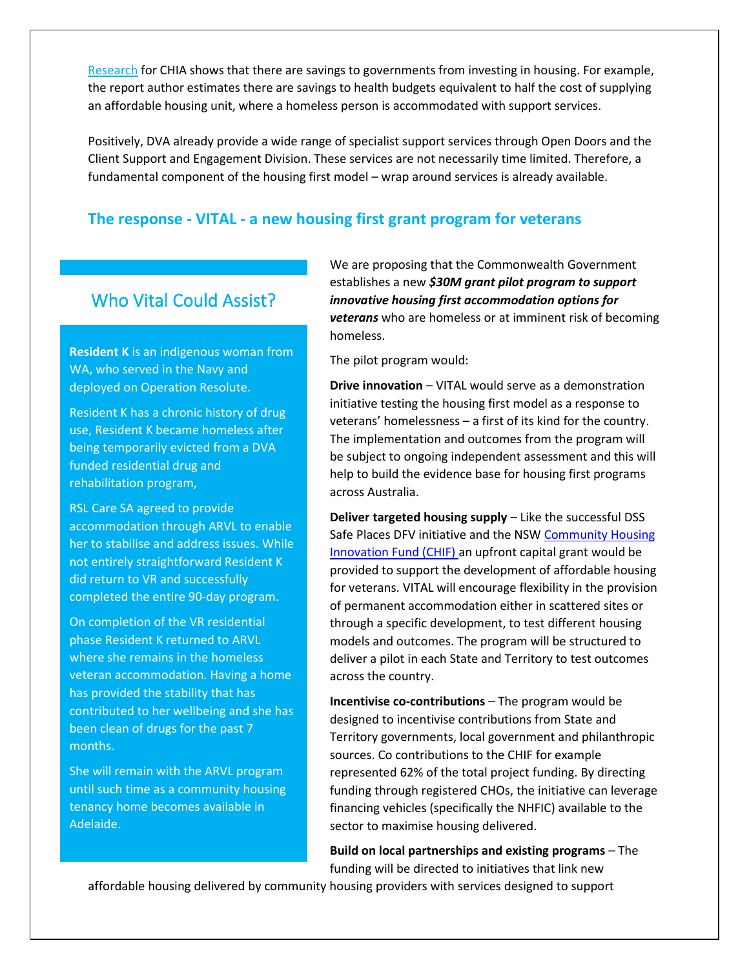[Research](https://www.communityhousing.com.au/wp-content/uploads/2019/11/Social-and-affordable-housing-as-social-infrastructure-FINAL.pdf?x95690) for CHIA shows that there are savings to governments from investing in housing. For example, the report author estimates there are savings to health budgets equivalent to half the cost of supplying an affordable housing unit, where a homeless person is accommodated with support services.

Positively, DVA already provide a wide range of specialist support services through Open Doors and the Client Support and Engagement Division. These services are not necessarily time limited. Therefore, a fundamental component of the housing first model – wrap around services is already available.

#### **The response - VITAL - a new housing first grant program for veterans**

## Who Vital Could Assist?

**Resident K** is an indigenous woman from WA, who served in the Navy and deployed on Operation Resolute.

Resident K has a chronic history of drug use, Resident K became homeless after being temporarily evicted from a DVA funded residential drug and rehabilitation program,

RSL Care SA agreed to provide accommodation through ARVL to enable her to stabilise and address issues. While not entirely straightforward Resident K did return to VR and successfully completed the entire 90-day program.

On completion of the VR residential phase Resident K returned to ARVL where she remains in the homeless veteran accommodation. Having a home has provided the stability that has contributed to her wellbeing and she has been clean of drugs for the past 7 months.

She will remain with the ARVL program until such time as a community housing tenancy home becomes available in Adelaide.

We are proposing that the Commonwealth Government establishes a new *\$30M grant pilot program to support innovative housing first accommodation options for veterans* who are homeless or at imminent risk of becoming homeless.

The pilot program would:

**Drive innovation** – VITAL would serve as a demonstration initiative testing the housing first model as a response to veterans' homelessness – a first of its kind for the country. The implementation and outcomes from the program will be subject to ongoing independent assessment and this will help to build the evidence base for housing first programs across Australia.

**Deliver targeted housing supply** – Like the successful DSS Safe Places DFV initiative and the NSW [Community Housing](https://www.facs.nsw.gov.au/about/reforms/future-directions/partner-with-the-nsw-government/community-housing-innovation-fund-chif)  [Innovation Fund \(CHIF\) a](https://www.facs.nsw.gov.au/about/reforms/future-directions/partner-with-the-nsw-government/community-housing-innovation-fund-chif)n upfront capital grant would be provided to support the development of affordable housing for veterans. VITAL will encourage flexibility in the provision of permanent accommodation either in scattered sites or through a specific development, to test different housing models and outcomes. The program will be structured to deliver a pilot in each State and Territory to test outcomes across the country.

**Incentivise co-contributions** – The program would be designed to incentivise contributions from State and Territory governments, local government and philanthropic sources. Co contributions to the CHIF for example represented 62% of the total project funding. By directing funding through registered CHOs, the initiative can leverage financing vehicles (specifically the NHFIC) available to the sector to maximise housing delivered.

**Build on local partnerships and existing programs** – The funding will be directed to initiatives that link new

affordable housing delivered by community housing providers with services designed to support